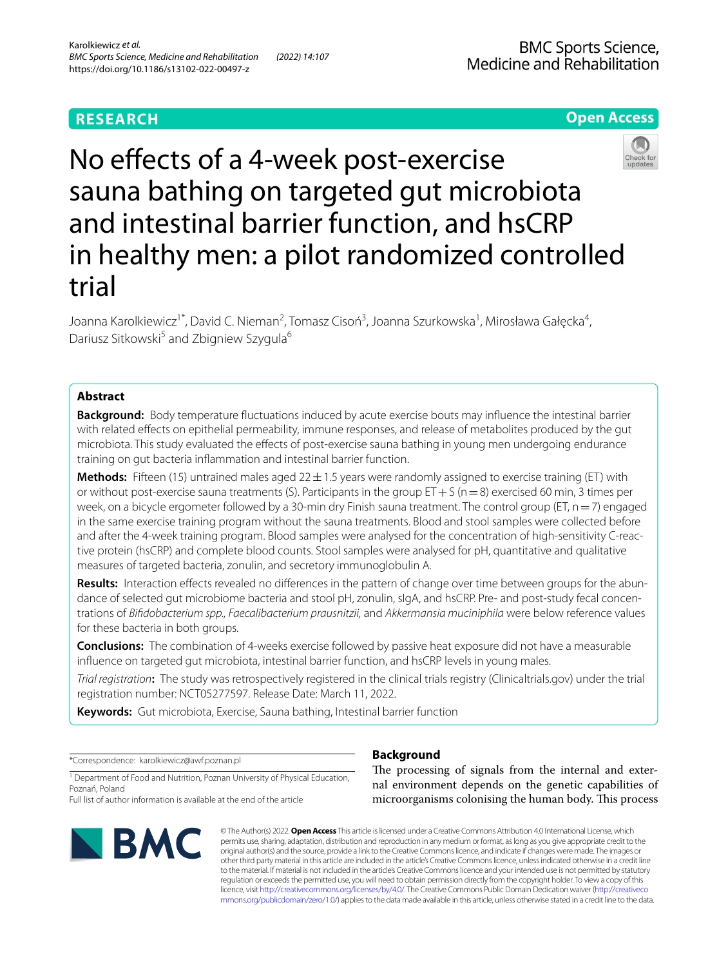# **RESEARCH**

# **BMC Sports Science,** Medicine and Rehabilitation

# **Open Access**



No effects of a 4-week post-exercise sauna bathing on targeted gut microbiota and intestinal barrier function, and hsCRP in healthy men: a pilot randomized controlled trial

Joanna Karolkiewicz<sup>1\*</sup>, David C. Nieman<sup>2</sup>, Tomasz Cisoń<sup>3</sup>, Joanna Szurkowska<sup>1</sup>, Mirosława Gałęcka<sup>4</sup>, Dariusz Sitkowski<sup>5</sup> and Zbigniew Szygula<sup>6</sup>

# **Abstract**

**Background:** Body temperature fuctuations induced by acute exercise bouts may infuence the intestinal barrier with related efects on epithelial permeability, immune responses, and release of metabolites produced by the gut microbiota. This study evaluated the efects of post-exercise sauna bathing in young men undergoing endurance training on gut bacteria infammation and intestinal barrier function.

**Methods:** Fifteen (15) untrained males aged  $22 \pm 1.5$  years were randomly assigned to exercise training (ET) with or without post-exercise sauna treatments (S). Participants in the group  $ET+S$  (n=8) exercised 60 min, 3 times per week, on a bicycle ergometer followed by a 30-min dry Finish sauna treatment. The control group (ET, n = 7) engaged in the same exercise training program without the sauna treatments. Blood and stool samples were collected before and after the 4-week training program. Blood samples were analysed for the concentration of high-sensitivity C-reactive protein (hsCRP) and complete blood counts. Stool samples were analysed for pH, quantitative and qualitative measures of targeted bacteria, zonulin, and secretory immunoglobulin A.

**Results:** Interaction efects revealed no diferences in the pattern of change over time between groups for the abundance of selected gut microbiome bacteria and stool pH, zonulin, sIgA, and hsCRP. Pre- and post-study fecal concentrations of *Bifdobacterium spp., Faecalibacterium prausnitzii,* and *Akkermansia muciniphila* were below reference values for these bacteria in both groups.

**Conclusions:** The combination of 4-weeks exercise followed by passive heat exposure did not have a measurable infuence on targeted gut microbiota, intestinal barrier function, and hsCRP levels in young males.

*Trial registration***:** The study was retrospectively registered in the clinical trials registry (Clinicaltrials.gov) under the trial registration number: NCT05277597. Release Date: March 11, 2022.

**Keywords:** Gut microbiota, Exercise, Sauna bathing, Intestinal barrier function

\*Correspondence: karolkiewicz@awf.poznan.pl

<sup>1</sup> Department of Food and Nutrition, Poznan University of Physical Education, Poznań, Poland

Full list of author information is available at the end of the article



# **Background**

The processing of signals from the internal and external environment depends on the genetic capabilities of microorganisms colonising the human body. This process

© The Author(s) 2022. **Open Access** This article is licensed under a Creative Commons Attribution 4.0 International License, which permits use, sharing, adaptation, distribution and reproduction in any medium or format, as long as you give appropriate credit to the original author(s) and the source, provide a link to the Creative Commons licence, and indicate if changes were made. The images or other third party material in this article are included in the article's Creative Commons licence, unless indicated otherwise in a credit line to the material. If material is not included in the article's Creative Commons licence and your intended use is not permitted by statutory regulation or exceeds the permitted use, you will need to obtain permission directly from the copyright holder. To view a copy of this licence, visit [http://creativecommons.org/licenses/by/4.0/.](http://creativecommons.org/licenses/by/4.0/) The Creative Commons Public Domain Dedication waiver ([http://creativeco](http://creativecommons.org/publicdomain/zero/1.0/) [mmons.org/publicdomain/zero/1.0/](http://creativecommons.org/publicdomain/zero/1.0/)) applies to the data made available in this article, unless otherwise stated in a credit line to the data.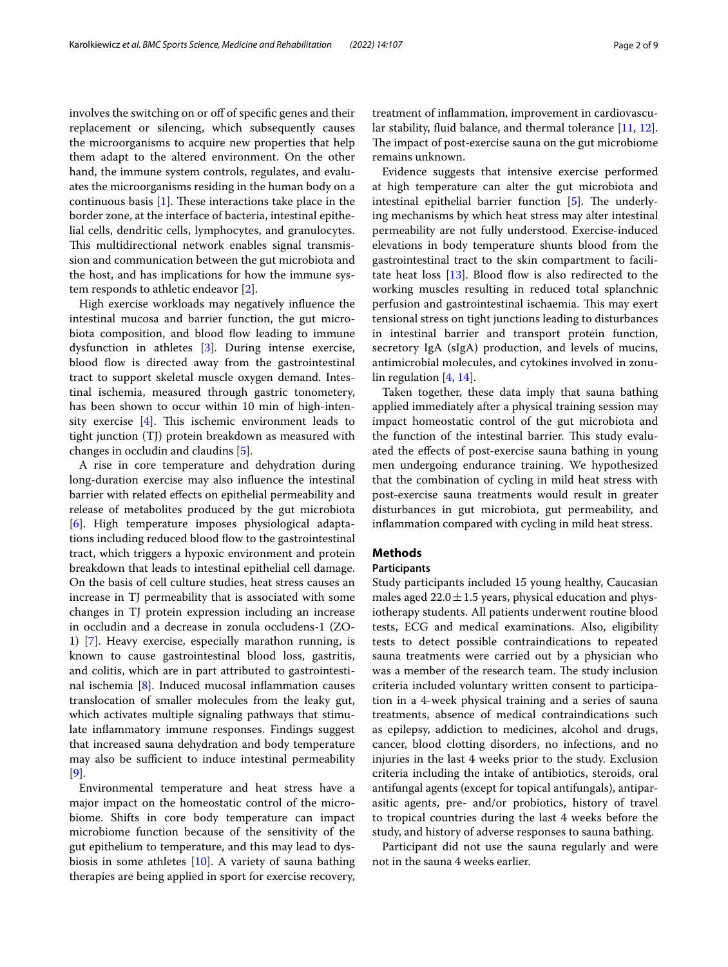Karolkiewicz *et al. BMC Sports Science, Medicine and Rehabilitation (2022) 14:107* Page 2 of 9

involves the switching on or off of specific genes and their replacement or silencing, which subsequently causes the microorganisms to acquire new properties that help them adapt to the altered environment. On the other hand, the immune system controls, regulates, and evaluates the microorganisms residing in the human body on a continuous basis  $[1]$  $[1]$ . These interactions take place in the border zone, at the interface of bacteria, intestinal epithelial cells, dendritic cells, lymphocytes, and granulocytes. This multidirectional network enables signal transmission and communication between the gut microbiota and the host, and has implications for how the immune system responds to athletic endeavor [[2\]](#page-8-0).

High exercise workloads may negatively infuence the intestinal mucosa and barrier function, the gut microbiota composition, and blood flow leading to immune dysfunction in athletes [\[3](#page-8-1)]. During intense exercise, blood flow is directed away from the gastrointestinal tract to support skeletal muscle oxygen demand. Intestinal ischemia, measured through gastric tonometery, has been shown to occur within 10 min of high-intensity exercise  $[4]$  $[4]$ . This ischemic environment leads to tight junction (TJ) protein breakdown as measured with changes in occludin and claudins [[5](#page-8-3)].

A rise in core temperature and dehydration during long-duration exercise may also infuence the intestinal barrier with related efects on epithelial permeability and release of metabolites produced by the gut microbiota [[6\]](#page-8-4). High temperature imposes physiological adaptations including reduced blood flow to the gastrointestinal tract, which triggers a hypoxic environment and protein breakdown that leads to intestinal epithelial cell damage. On the basis of cell culture studies, heat stress causes an increase in TJ permeability that is associated with some changes in TJ protein expression including an increase in occludin and a decrease in zonula occludens-1 (ZO-1) [\[7](#page-8-5)]. Heavy exercise, especially marathon running, is known to cause gastrointestinal blood loss, gastritis, and colitis, which are in part attributed to gastrointestinal ischemia [\[8\]](#page-8-6). Induced mucosal infammation causes translocation of smaller molecules from the leaky gut, which activates multiple signaling pathways that stimulate infammatory immune responses. Findings suggest that increased sauna dehydration and body temperature may also be sufficient to induce intestinal permeability [[9\]](#page-8-7).

Environmental temperature and heat stress have a major impact on the homeostatic control of the microbiome. Shifts in core body temperature can impact microbiome function because of the sensitivity of the gut epithelium to temperature, and this may lead to dysbiosis in some athletes [\[10](#page-8-8)]. A variety of sauna bathing therapies are being applied in sport for exercise recovery, treatment of infammation, improvement in cardiovascular stability, fuid balance, and thermal tolerance [[11](#page-8-9), [12](#page-8-10)]. The impact of post-exercise sauna on the gut microbiome remains unknown.

Evidence suggests that intensive exercise performed at high temperature can alter the gut microbiota and intestinal epithelial barrier function  $[5]$  $[5]$ . The underlying mechanisms by which heat stress may alter intestinal permeability are not fully understood. Exercise-induced elevations in body temperature shunts blood from the gastrointestinal tract to the skin compartment to facilitate heat loss  $[13]$ . Blood flow is also redirected to the working muscles resulting in reduced total splanchnic perfusion and gastrointestinal ischaemia. This may exert tensional stress on tight junctions leading to disturbances in intestinal barrier and transport protein function, secretory IgA (sIgA) production, and levels of mucins, antimicrobial molecules, and cytokines involved in zonulin regulation [[4,](#page-8-2) [14](#page-8-12)].

Taken together, these data imply that sauna bathing applied immediately after a physical training session may impact homeostatic control of the gut microbiota and the function of the intestinal barrier. This study evaluated the efects of post-exercise sauna bathing in young men undergoing endurance training. We hypothesized that the combination of cycling in mild heat stress with post-exercise sauna treatments would result in greater disturbances in gut microbiota, gut permeability, and infammation compared with cycling in mild heat stress.

# **Methods**

## **Participants**

Study participants included 15 young healthy, Caucasian males aged  $22.0 \pm 1.5$  years, physical education and physiotherapy students. All patients underwent routine blood tests, ECG and medical examinations. Also, eligibility tests to detect possible contraindications to repeated sauna treatments were carried out by a physician who was a member of the research team. The study inclusion criteria included voluntary written consent to participation in a 4-week physical training and a series of sauna treatments, absence of medical contraindications such as epilepsy, addiction to medicines, alcohol and drugs, cancer, blood clotting disorders, no infections, and no injuries in the last 4 weeks prior to the study. Exclusion criteria including the intake of antibiotics, steroids, oral antifungal agents (except for topical antifungals), antiparasitic agents, pre- and/or probiotics, history of travel to tropical countries during the last 4 weeks before the study, and history of adverse responses to sauna bathing.

Participant did not use the sauna regularly and were not in the sauna 4 weeks earlier.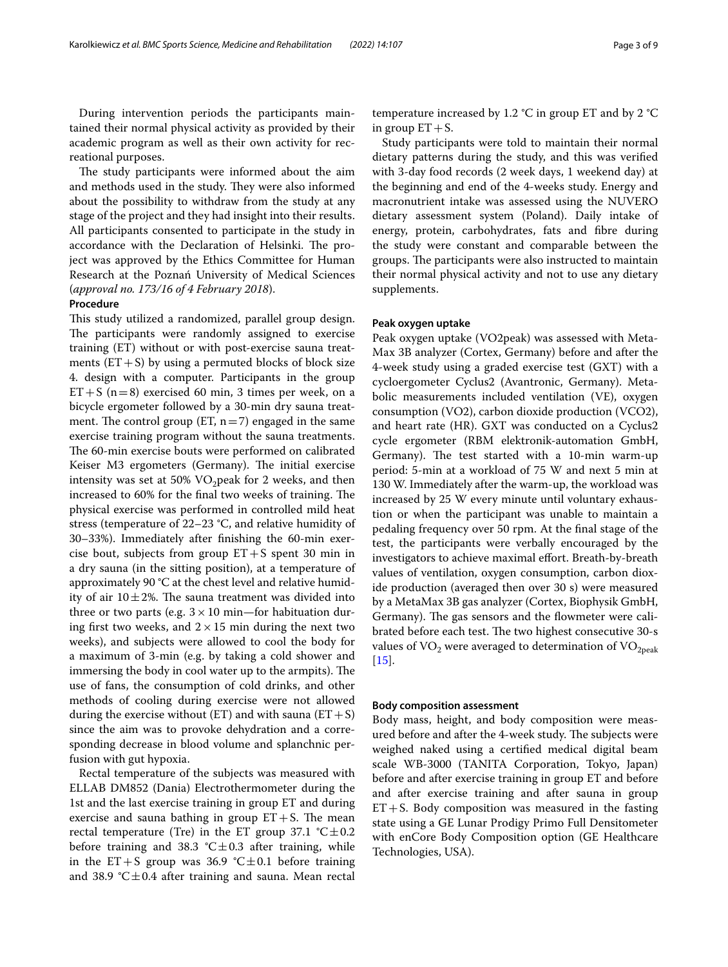During intervention periods the participants maintained their normal physical activity as provided by their academic program as well as their own activity for recreational purposes.

The study participants were informed about the aim and methods used in the study. They were also informed about the possibility to withdraw from the study at any stage of the project and they had insight into their results. All participants consented to participate in the study in accordance with the Declaration of Helsinki. The project was approved by the Ethics Committee for Human Research at the Poznań University of Medical Sciences (*approval no. 173/16 of 4 February 2018*).

## **Procedure**

This study utilized a randomized, parallel group design. The participants were randomly assigned to exercise training (ET) without or with post-exercise sauna treatments  $(ET + S)$  by using a permuted blocks of block size 4. design with a computer. Participants in the group  $ET+S$  (n=8) exercised 60 min, 3 times per week, on a bicycle ergometer followed by a 30-min dry sauna treatment. The control group (ET,  $n=7$ ) engaged in the same exercise training program without the sauna treatments. The 60-min exercise bouts were performed on calibrated Keiser M3 ergometers (Germany). The initial exercise intensity was set at 50%  $VO<sub>2</sub>$  peak for 2 weeks, and then increased to 60% for the final two weeks of training. The physical exercise was performed in controlled mild heat stress (temperature of 22–23 °C, and relative humidity of 30–33%). Immediately after fnishing the 60-min exercise bout, subjects from group  $ET + S$  spent 30 min in a dry sauna (in the sitting position), at a temperature of approximately 90 °C at the chest level and relative humidity of air  $10\pm2\%$ . The sauna treatment was divided into three or two parts (e.g.  $3 \times 10$  min—for habituation during first two weeks, and  $2 \times 15$  min during the next two weeks), and subjects were allowed to cool the body for a maximum of 3-min (e.g. by taking a cold shower and immersing the body in cool water up to the armpits). The use of fans, the consumption of cold drinks, and other methods of cooling during exercise were not allowed during the exercise without (ET) and with sauna ( $ET + S$ ) since the aim was to provoke dehydration and a corresponding decrease in blood volume and splanchnic perfusion with gut hypoxia.

Rectal temperature of the subjects was measured with ELLAB DM852 (Dania) Electrothermometer during the 1st and the last exercise training in group ET and during exercise and sauna bathing in group  $ET + S$ . The mean rectal temperature (Tre) in the ET group 37.1  $°C \pm 0.2$ before training and 38.3  $^{\circ}$ C $\pm$ 0.3 after training, while in the ET+S group was 36.9  $°C \pm 0.1$  before training and 38.9  $^{\circ}$ C $\pm$ 0.4 after training and sauna. Mean rectal temperature increased by 1.2 °C in group ET and by 2 °C in group  $ET + S$ .

Study participants were told to maintain their normal dietary patterns during the study, and this was verifed with 3-day food records (2 week days, 1 weekend day) at the beginning and end of the 4-weeks study. Energy and macronutrient intake was assessed using the NUVERO dietary assessment system (Poland). Daily intake of energy, protein, carbohydrates, fats and fbre during the study were constant and comparable between the groups. The participants were also instructed to maintain their normal physical activity and not to use any dietary supplements.

## **Peak oxygen uptake**

Peak oxygen uptake (VO2peak) was assessed with Meta-Max 3B analyzer (Cortex, Germany) before and after the 4-week study using a graded exercise test (GXT) with a cycloergometer Cyclus2 (Avantronic, Germany). Metabolic measurements included ventilation (VE), oxygen consumption (VO2), carbon dioxide production (VCO2), and heart rate (HR). GXT was conducted on a Cyclus2 cycle ergometer (RBM elektronik-automation GmbH, Germany). The test started with a 10-min warm-up period: 5-min at a workload of 75 W and next 5 min at 130 W. Immediately after the warm-up, the workload was increased by 25 W every minute until voluntary exhaustion or when the participant was unable to maintain a pedaling frequency over 50 rpm. At the fnal stage of the test, the participants were verbally encouraged by the investigators to achieve maximal efort. Breath-by-breath values of ventilation, oxygen consumption, carbon dioxide production (averaged then over 30 s) were measured by a MetaMax 3B gas analyzer (Cortex, Biophysik GmbH, Germany). The gas sensors and the flowmeter were calibrated before each test. The two highest consecutive 30-s values of  $VO<sub>2</sub>$  were averaged to determination of  $VO<sub>2peak</sub>$ [[15\]](#page-8-13).

### **Body composition assessment**

Body mass, height, and body composition were measured before and after the 4-week study. The subjects were weighed naked using a certifed medical digital beam scale WB-3000 (TANITA Corporation, Tokyo, Japan) before and after exercise training in group ET and before and after exercise training and after sauna in group  $ET+S$ . Body composition was measured in the fasting state using a GE Lunar Prodigy Primo Full Densitometer with enCore Body Composition option (GE Healthcare Technologies, USA).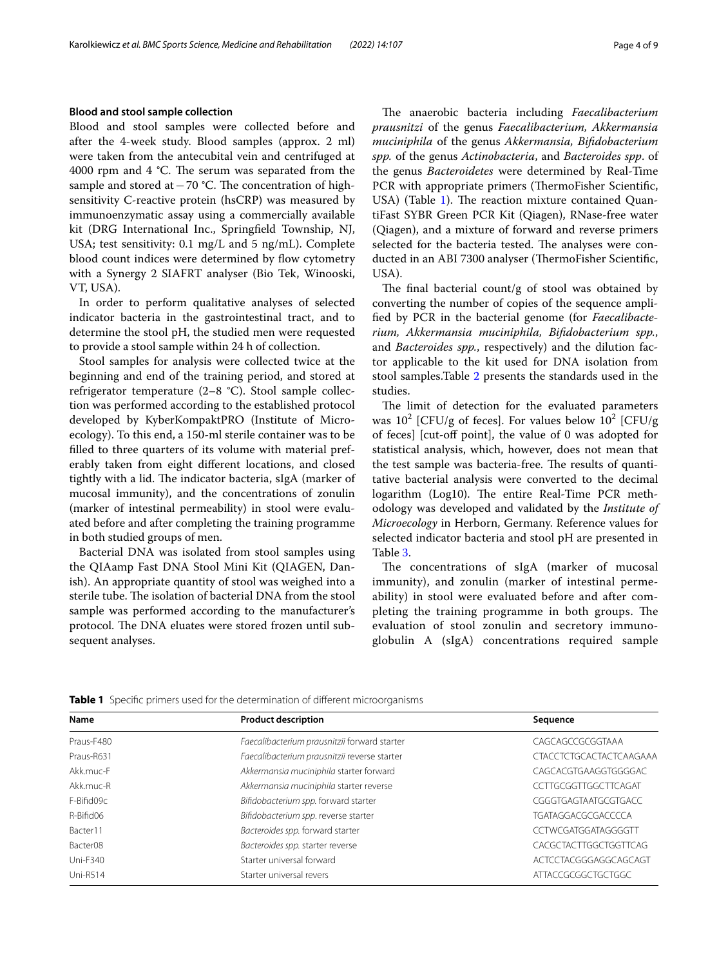### **Blood and stool sample collection**

Blood and stool samples were collected before and after the 4-week study. Blood samples (approx. 2 ml) were taken from the antecubital vein and centrifuged at 4000 rpm and 4  $°C$ . The serum was separated from the sample and stored at  $-70$  °C. The concentration of highsensitivity C-reactive protein (hsCRP) was measured by immunoenzymatic assay using a commercially available kit (DRG International Inc., Springfeld Township, NJ, USA; test sensitivity: 0.1 mg/L and 5 ng/mL). Complete blood count indices were determined by flow cytometry with a Synergy 2 SIAFRT analyser (Bio Tek, Winooski, VT, USA).

In order to perform qualitative analyses of selected indicator bacteria in the gastrointestinal tract, and to determine the stool pH, the studied men were requested to provide a stool sample within 24 h of collection.

Stool samples for analysis were collected twice at the beginning and end of the training period, and stored at refrigerator temperature (2–8 °C). Stool sample collection was performed according to the established protocol developed by KyberKompaktPRO (Institute of Microecology). To this end, a 150-ml sterile container was to be flled to three quarters of its volume with material preferably taken from eight diferent locations, and closed tightly with a lid. The indicator bacteria, sIgA (marker of mucosal immunity), and the concentrations of zonulin (marker of intestinal permeability) in stool were evaluated before and after completing the training programme in both studied groups of men.

Bacterial DNA was isolated from stool samples using the QIAamp Fast DNA Stool Mini Kit (QIAGEN, Danish). An appropriate quantity of stool was weighed into a sterile tube. The isolation of bacterial DNA from the stool sample was performed according to the manufacturer's protocol. The DNA eluates were stored frozen until subsequent analyses.

The anaerobic bacteria including *Faecalibacterium prausnitzi* of the genus *Faecalibacterium, Akkermansia muciniphila* of the genus *Akkermansia, Bifdobacterium spp.* of the genus *Actinobacteria*, and *Bacteroides spp*. of the genus *Bacteroidetes* were determined by Real-Time PCR with appropriate primers (ThermoFisher Scientific, USA) (Table [1](#page-3-0)). The reaction mixture contained QuantiFast SYBR Green PCR Kit (Qiagen), RNase-free water (Qiagen), and a mixture of forward and reverse primers selected for the bacteria tested. The analyses were conducted in an ABI 7300 analyser (ThermoFisher Scientific, USA).

The final bacterial count/g of stool was obtained by converting the number of copies of the sequence amplifed by PCR in the bacterial genome (for *Faecalibacterium, Akkermansia muciniphila, Bifdobacterium spp.*, and *Bacteroides spp.*, respectively) and the dilution factor applicable to the kit used for DNA isolation from stool samples.Table [2](#page-4-0) presents the standards used in the studies.

The limit of detection for the evaluated parameters was  $10^2$  [CFU/g of feces]. For values below  $10^2$  [CFU/g of feces] [cut-off point], the value of 0 was adopted for statistical analysis, which, however, does not mean that the test sample was bacteria-free. The results of quantitative bacterial analysis were converted to the decimal logarithm (Log10). The entire Real-Time PCR methodology was developed and validated by the *Institute of Microecology* in Herborn, Germany. Reference values for selected indicator bacteria and stool pH are presented in Table [3](#page-4-1).

The concentrations of sIgA (marker of mucosal immunity), and zonulin (marker of intestinal permeability) in stool were evaluated before and after completing the training programme in both groups. The evaluation of stool zonulin and secretory immunoglobulin A (sIgA) concentrations required sample

| Name                 | <b>Product description</b>                   | Sequence                       |  |  |
|----------------------|----------------------------------------------|--------------------------------|--|--|
| Praus-F480           | Faecalibacterium prausnitzii forward starter | CAGCAGCCGCGGTAAA               |  |  |
| Praus-R631           | Faecalibacterium prausnitzii reverse starter | <b>CTACCTCTGCACTACTCAAGAAA</b> |  |  |
| Akk.muc-F            | Akkermansia muciniphila starter forward      | CAGCACGTGAAGGTGGGGAC           |  |  |
| Akk.muc-R            | Akkermansia muciniphila starter reverse      | CCTTGCGGTTGGCTTCAGAT           |  |  |
| F-Bifid09c           | Bifidobacterium spp. forward starter         | CGGGTGAGTAATGCGTGACC           |  |  |
| R-Bifid06            | Bifidobacterium spp. reverse starter         | <b>TGATAGGACGCGACCCCA</b>      |  |  |
| Bacter11             | Bacteroides spp. forward starter             | CCTWCGATGGATAGGGGTT            |  |  |
| Bacter <sub>08</sub> | Bacteroides spp. starter reverse             | CACGCTACTTGGCTGGTTCAG          |  |  |
| <b>Uni-F340</b>      | Starter universal forward                    | ACTCCTACGGGAGGCAGCAGT          |  |  |
| <b>Uni-R514</b>      | Starter universal revers                     | ATTACCGCGGCTGCTGGC             |  |  |

<span id="page-3-0"></span>**Table 1** Specific primers used for the determination of different microorganisms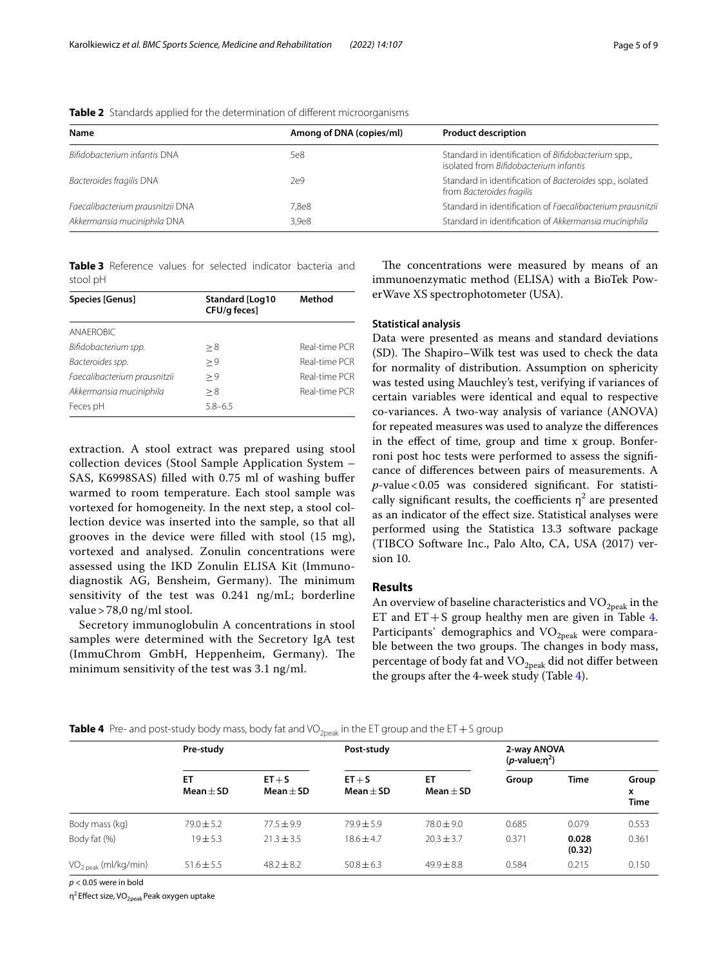| Name                             | Among of DNA (copies/ml) | <b>Product description</b>                                                                    |
|----------------------------------|--------------------------|-----------------------------------------------------------------------------------------------|
| Bifidobacterium infantis DNA     | 5e8                      | Standard in identification of Bifidobacterium spp.,<br>isolated from Bifidobacterium infantis |
| Bacteroides fragilis DNA         | 2e9                      | Standard in identification of Bacteroides spp., isolated<br>from Bacteroides fragilis         |
| Faecalibacterium prausnitzii DNA | 7.8e8                    | Standard in identification of Faecalibacterium prausnitzii                                    |
| Akkermansia muciniphila DNA      | 3.9 <sub>e8</sub>        | Standard in identification of Akkermansia muciniphila                                         |

<span id="page-4-0"></span>**Table 2** Standards applied for the determination of diferent microorganisms

<span id="page-4-1"></span>**Table 3** Reference values for selected indicator bacteria and stool pH

| Species [Genus]              | Standard [Log10<br>CFU/g feces] | Method        |  |
|------------------------------|---------------------------------|---------------|--|
| ANAFROBIC                    |                                 |               |  |
| Bifidobacterium spp.         | > 8                             | Real-time PCR |  |
| Bacteroides spp.             | > 9                             | Real-time PCR |  |
| Faecalibacterium prausnitzii | > 9                             | Real-time PCR |  |
| Akkermansia muciniphila      | > 8                             | Real-time PCR |  |
| Feces pH                     | $5.8 - 6.5$                     |               |  |

extraction. A stool extract was prepared using stool collection devices (Stool Sample Application System – SAS, K6998SAS) flled with 0.75 ml of washing bufer warmed to room temperature. Each stool sample was vortexed for homogeneity. In the next step, a stool collection device was inserted into the sample, so that all grooves in the device were flled with stool (15 mg), vortexed and analysed. Zonulin concentrations were assessed using the IKD Zonulin ELISA Kit (Immunodiagnostik AG, Bensheim, Germany). The minimum sensitivity of the test was 0.241 ng/mL; borderline value > 78,0 ng/ml stool.

Secretory immunoglobulin A concentrations in stool samples were determined with the Secretory IgA test (ImmuChrom GmbH, Heppenheim, Germany). The minimum sensitivity of the test was 3.1 ng/ml.

The concentrations were measured by means of an immunoenzymatic method (ELISA) with a BioTek PowerWave XS spectrophotometer (USA).

## **Statistical analysis**

Data were presented as means and standard deviations (SD). The Shapiro–Wilk test was used to check the data for normality of distribution. Assumption on sphericity was tested using Mauchley's test, verifying if variances of certain variables were identical and equal to respective co-variances. A two-way analysis of variance (ANOVA) for repeated measures was used to analyze the diferences in the efect of time, group and time x group. Bonferroni post hoc tests were performed to assess the signifcance of diferences between pairs of measurements. A *p*-value<0.05 was considered signifcant. For statistically significant results, the coefficients  $\eta^2$  are presented as an indicator of the efect size. Statistical analyses were performed using the Statistica 13.3 software package (TIBCO Software Inc., Palo Alto, CA, USA (2017) version 10.

## **Results**

An overview of baseline characteristics and  $\rm VO_{2peak}$  in the ET and  $ET + S$  group healthy men are given in Table [4](#page-4-2). Participants' demographics and  $VO<sub>2peak</sub>$  were comparable between the two groups. The changes in body mass, percentage of body fat and  $VO_{2\text{peak}}$  did not differ between the groups after the 4-week study (Table  $4$ ).

<span id="page-4-2"></span>

|  |  |  |  |  | <b>Table 4</b> Pre- and post-study body mass, body fat and VO <sub>2peak</sub> in the ET group and the ET + S group |  |
|--|--|--|--|--|---------------------------------------------------------------------------------------------------------------------|--|
|--|--|--|--|--|---------------------------------------------------------------------------------------------------------------------|--|

|                                  | Pre-study           |                           | Post-study                |                     | 2-way ANOVA<br>$(p$ -value;n <sup>2</sup> ) |                 |                           |
|----------------------------------|---------------------|---------------------------|---------------------------|---------------------|---------------------------------------------|-----------------|---------------------------|
|                                  | ET<br>Mean $\pm$ SD | $ET + S$<br>Mean $\pm$ SD | $ET + S$<br>Mean $\pm$ SD | ET<br>Mean $\pm$ SD | Group                                       | Time            | Group<br>x<br><b>Time</b> |
| Body mass (kg)                   | $79.0 \pm 5.2$      | $77.5 \pm 9.9$            | $79.9 \pm 5.9$            | $78.0 \pm 9.0$      | 0.685                                       | 0.079           | 0.553                     |
| Body fat (%)                     | $19 + 5.3$          | $21.3 \pm 3.5$            | $18.6 + 4.7$              | $20.3 \pm 3.7$      | 0.371                                       | 0.028<br>(0.32) | 0.361                     |
| VO <sub>2 peak</sub> (ml/kg/min) | $51.6 + 5.5$        | $48.2 \pm 8.2$            | $50.8 \pm 6.3$            | $49.9 \pm 8.8$      | 0.584                                       | 0.215           | 0.150                     |

*p* < 0.05 were in bold

 $η<sup>2</sup>$  Effect size, VO<sub>2peak</sub> Peak oxygen uptake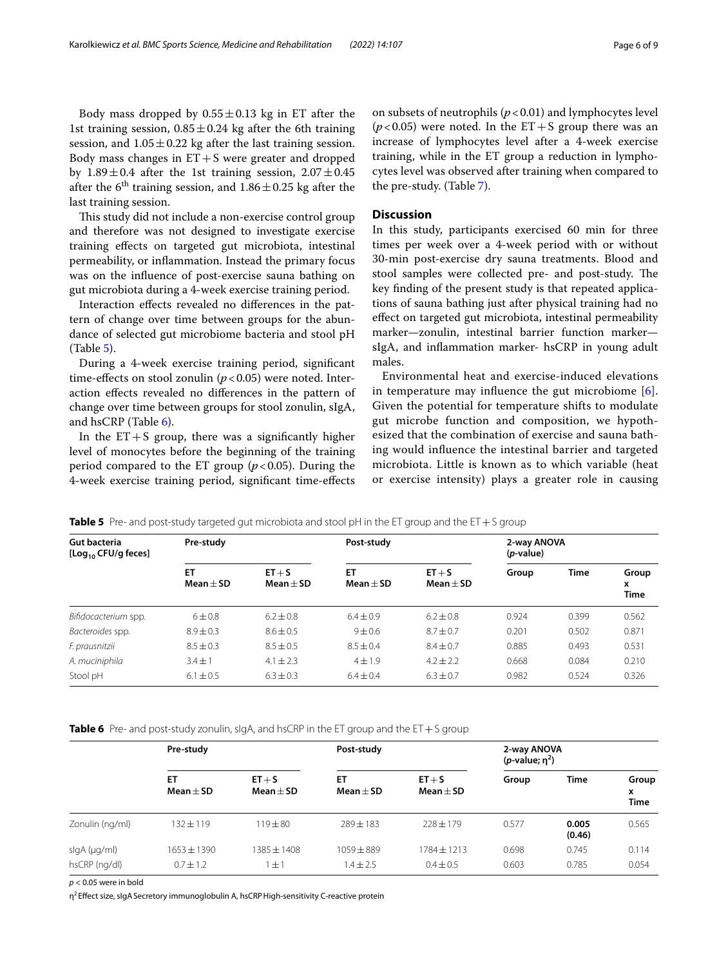Body mass dropped by  $0.55 \pm 0.13$  kg in ET after the 1st training session,  $0.85 \pm 0.24$  kg after the 6th training session, and  $1.05 \pm 0.22$  kg after the last training session. Body mass changes in  $ET+S$  were greater and dropped by  $1.89 \pm 0.4$  after the 1st training session,  $2.07 \pm 0.45$ after the 6<sup>th</sup> training session, and  $1.86 \pm 0.25$  kg after the last training session.

This study did not include a non-exercise control group and therefore was not designed to investigate exercise training efects on targeted gut microbiota, intestinal permeability, or infammation. Instead the primary focus was on the infuence of post-exercise sauna bathing on gut microbiota during a 4-week exercise training period.

Interaction efects revealed no diferences in the pattern of change over time between groups for the abundance of selected gut microbiome bacteria and stool pH (Table [5](#page-5-0)).

During a 4-week exercise training period, signifcant time-effects on stool zonulin  $(p < 0.05)$  were noted. Interaction efects revealed no diferences in the pattern of change over time between groups for stool zonulin, sIgA, and hsCRP (Table [6](#page-5-1)).

In the  $ET+S$  group, there was a significantly higher level of monocytes before the beginning of the training period compared to the ET group  $(p<0.05)$ . During the 4-week exercise training period, signifcant time-efects on subsets of neutrophils  $(p < 0.01)$  and lymphocytes level ( $p$ <0.05) were noted. In the  $ET + S$  group there was an increase of lymphocytes level after a 4-week exercise training, while in the ET group a reduction in lymphocytes level was observed after training when compared to the pre-study. (Table [7](#page-6-0)).

## **Discussion**

In this study, participants exercised 60 min for three times per week over a 4-week period with or without 30-min post-exercise dry sauna treatments. Blood and stool samples were collected pre- and post-study. The key fnding of the present study is that repeated applications of sauna bathing just after physical training had no efect on targeted gut microbiota, intestinal permeability marker—zonulin, intestinal barrier function marker sIgA, and infammation marker- hsCRP in young adult males.

Environmental heat and exercise-induced elevations in temperature may influence the gut microbiome  $[6]$  $[6]$  $[6]$ . Given the potential for temperature shifts to modulate gut microbe function and composition, we hypothesized that the combination of exercise and sauna bathing would infuence the intestinal barrier and targeted microbiota. Little is known as to which variable (heat or exercise intensity) plays a greater role in causing

| Gut bacteria<br>[Log <sub>10</sub> CFU/g feces] | Pre-study         |                         | Post-study        |                         | 2-way ANOVA<br>( <i>p</i> -value) |       |                           |
|-------------------------------------------------|-------------------|-------------------------|-------------------|-------------------------|-----------------------------------|-------|---------------------------|
|                                                 | ET<br>$Mean + SD$ | $ET + S$<br>$Mean + SD$ | ET<br>$Mean + SD$ | $ET + S$<br>$Mean + SD$ | Group                             | Time  | Group<br>x<br><b>Time</b> |
| Bifidocacterium spp.                            | $6 + 0.8$         | $6.2 \pm 0.8$           | $6.4 \pm 0.9$     | $6.2 + 0.8$             | 0.924                             | 0.399 | 0.562                     |
| Bacteroides spp.                                | $8.9 \pm 0.3$     | $8.6 \pm 0.5$           | $9 + 0.6$         | $8.7 \pm 0.7$           | 0.201                             | 0.502 | 0.871                     |
| F. prausnitzii                                  | $8.5 \pm 0.3$     | $8.5 \pm 0.5$           | $8.5 + 0.4$       | $8.4 + 0.7$             | 0.885                             | 0.493 | 0.531                     |
| A. muciniphila                                  | $3.4 + 1$         | $4.1 \pm 2.3$           | $4 \pm 1.9$       | $4.2 + 2.2$             | 0.668                             | 0.084 | 0.210                     |
| Stool pH                                        | $6.1 \pm 0.5$     | $6.3 + 0.3$             | $6.4 + 0.4$       | $6.3 \pm 0.7$           | 0.982                             | 0.524 | 0.326                     |

<span id="page-5-0"></span>**Table 5** Pre- and post-study targeted gut microbiota and stool pH in the ET group and the ET  $+$  S group

<span id="page-5-1"></span>**Table 6** Pre- and post-study zonulin, slgA, and hsCRP in the ET group and the ET + S group

|                 | Pre-study           |                           | Post-study          |                           | 2-way ANOVA<br>( <i>p</i> -value; $n^2$ ) |                 |                           |
|-----------------|---------------------|---------------------------|---------------------|---------------------------|-------------------------------------------|-----------------|---------------------------|
|                 | ET<br>Mean $\pm$ SD | $ET + S$<br>Mean $\pm$ SD | ET<br>Mean $\pm$ SD | $ET + S$<br>Mean $\pm$ SD | Group                                     | Time            | Group<br>x<br><b>Time</b> |
| Zonulin (ng/ml) | 132±119             | $119 + 80$                | $789 + 183$         | $728 + 179$               | 0.577                                     | 0.005<br>(0.46) | 0.565                     |
| slgA (µg/ml)    | $1653 + 1390$       | 1385±1408                 | $1059 + 889$        | $1784 + 1213$             | 0.698                                     | 0.745           | 0.114                     |
| hsCRP (ng/dl)   | $0.7 \pm 1.2$       | 士。                        | $1.4 \pm 2.5$       | $0.4 \pm 0.5$             | 0.603                                     | 0.785           | 0.054                     |

*p* < 0.05 were in bold

 $\eta^2$  Effect size, sIgA Secretory immunoglobulin A, hsCRP High-sensitivity C-reactive protein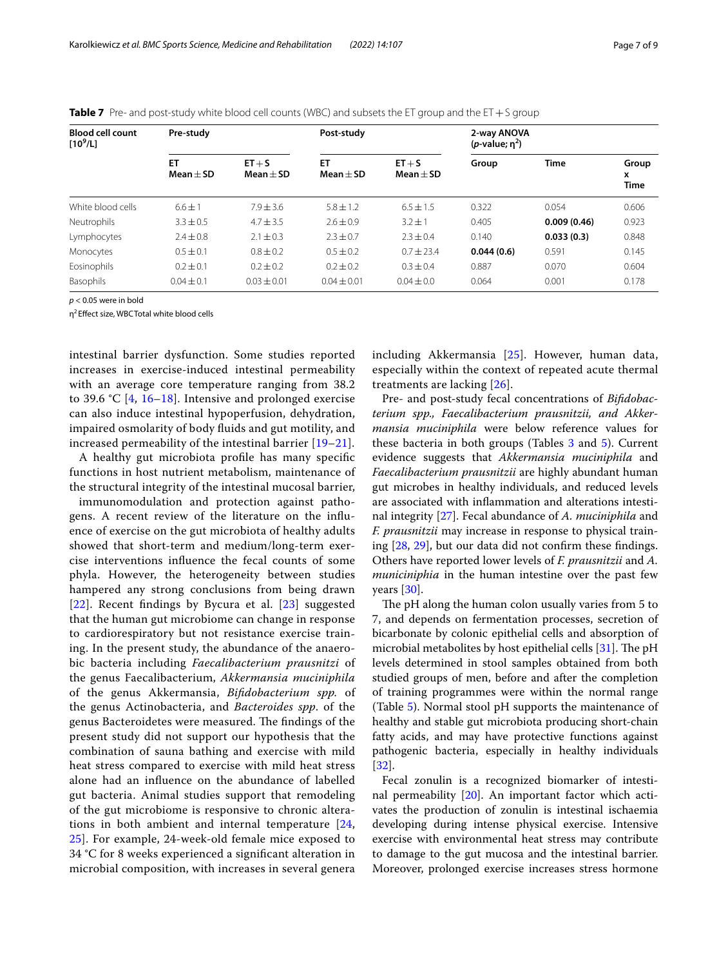| <b>Blood cell count</b><br>$[10^9/L]$ | Pre-study         |                         | Post-study        |                           | 2-way ANOVA<br>$(p$ -value; $n^2$ ) |             |                    |
|---------------------------------------|-------------------|-------------------------|-------------------|---------------------------|-------------------------------------|-------------|--------------------|
|                                       | ET<br>$Mean + SD$ | $ET + S$<br>$Mean + SD$ | ET<br>$Mean + SD$ | $ET + S$<br>Mean $\pm$ SD | Group                               | <b>Time</b> | Group<br>x<br>Time |
| White blood cells                     | $6.6 + 1$         | $7.9 + 3.6$             | $5.8 + 1.2$       | $6.5 \pm 1.5$             | 0.322                               | 0.054       | 0.606              |
| Neutrophils                           | $3.3 \pm 0.5$     | $4.7 \pm 3.5$           | $2.6 + 0.9$       | $3.2 \pm 1$               | 0.405                               | 0.009(0.46) | 0.923              |
| Lymphocytes                           | $2.4 \pm 0.8$     | $2.1 \pm 0.3$           | $2.3 \pm 0.7$     | $2.3 \pm 0.4$             | 0.140                               | 0.033(0.3)  | 0.848              |
| Monocytes                             | $0.5 \pm 0.1$     | $0.8 \pm 0.2$           | $0.5 \pm 0.2$     | $0.7 \pm 23.4$            | 0.044(0.6)                          | 0.591       | 0.145              |
| Eosinophils                           | $0.2 \pm 0.1$     | $0.2 \pm 0.2$           | $0.2 \pm 0.2$     | $0.3 \pm 0.4$             | 0.887                               | 0.070       | 0.604              |
| Basophils                             | $0.04 \pm 0.1$    | $0.03 \pm 0.01$         | $0.04 \pm 0.01$   | $0.04 + 0.0$              | 0.064                               | 0.001       | 0.178              |

<span id="page-6-0"></span>**Table 7** Pre- and post-study white blood cell counts (WBC) and subsets the ET group and the ET + S group

*p* < 0.05 were in bold

η<sup>2</sup> Efect size, WBCTotal white blood cells

intestinal barrier dysfunction. Some studies reported increases in exercise-induced intestinal permeability with an average core temperature ranging from 38.2 to 39.6 °C [[4](#page-8-2), [16–](#page-8-14)[18\]](#page-8-15). Intensive and prolonged exercise can also induce intestinal hypoperfusion, dehydration, impaired osmolarity of body fuids and gut motility, and increased permeability of the intestinal barrier [\[19](#page-8-16)–[21\]](#page-8-17).

A healthy gut microbiota profle has many specifc functions in host nutrient metabolism, maintenance of the structural integrity of the intestinal mucosal barrier,

immunomodulation and protection against pathogens. A recent review of the literature on the infuence of exercise on the gut microbiota of healthy adults showed that short-term and medium/long-term exercise interventions infuence the fecal counts of some phyla. However, the heterogeneity between studies hampered any strong conclusions from being drawn [[22](#page-8-18)]. Recent fndings by Bycura et al. [\[23\]](#page-8-19) suggested that the human gut microbiome can change in response to cardiorespiratory but not resistance exercise training. In the present study, the abundance of the anaerobic bacteria including *Faecalibacterium prausnitzi* of the genus Faecalibacterium, *Akkermansia muciniphila* of the genus Akkermansia, *Bifdobacterium spp.* of the genus Actinobacteria, and *Bacteroides spp*. of the genus Bacteroidetes were measured. The findings of the present study did not support our hypothesis that the combination of sauna bathing and exercise with mild heat stress compared to exercise with mild heat stress alone had an infuence on the abundance of labelled gut bacteria. Animal studies support that remodeling of the gut microbiome is responsive to chronic alterations in both ambient and internal temperature [\[24](#page-8-20), [25\]](#page-8-21). For example, 24-week-old female mice exposed to 34 °C for 8 weeks experienced a signifcant alteration in microbial composition, with increases in several genera including Akkermansia [\[25](#page-8-21)]. However, human data, especially within the context of repeated acute thermal treatments are lacking [\[26](#page-8-22)].

Pre- and post-study fecal concentrations of *Bifdobacterium spp., Faecalibacterium prausnitzii, and Akkermansia muciniphila* were below reference values for these bacteria in both groups (Tables  $3$  and  $5$ ). Current evidence suggests that *Akkermansia muciniphila* and *Faecalibacterium prausnitzii* are highly abundant human gut microbes in healthy individuals, and reduced levels are associated with infammation and alterations intestinal integrity [\[27](#page-8-23)]. Fecal abundance of *A. muciniphila* and *F. prausnitzii* may increase in response to physical training [[28](#page-8-24), [29](#page-8-25)], but our data did not confrm these fndings. Others have reported lower levels of *F. prausnitzii* and *A. municiniphia* in the human intestine over the past few years [\[30](#page-8-26)].

The pH along the human colon usually varies from 5 to 7, and depends on fermentation processes, secretion of bicarbonate by colonic epithelial cells and absorption of microbial metabolites by host epithelial cells  $[31]$  $[31]$  $[31]$ . The pH levels determined in stool samples obtained from both studied groups of men, before and after the completion of training programmes were within the normal range (Table [5](#page-5-0)). Normal stool pH supports the maintenance of healthy and stable gut microbiota producing short-chain fatty acids, and may have protective functions against pathogenic bacteria, especially in healthy individuals [[32\]](#page-8-28).

Fecal zonulin is a recognized biomarker of intestinal permeability [[20](#page-8-29)]. An important factor which activates the production of zonulin is intestinal ischaemia developing during intense physical exercise. Intensive exercise with environmental heat stress may contribute to damage to the gut mucosa and the intestinal barrier. Moreover, prolonged exercise increases stress hormone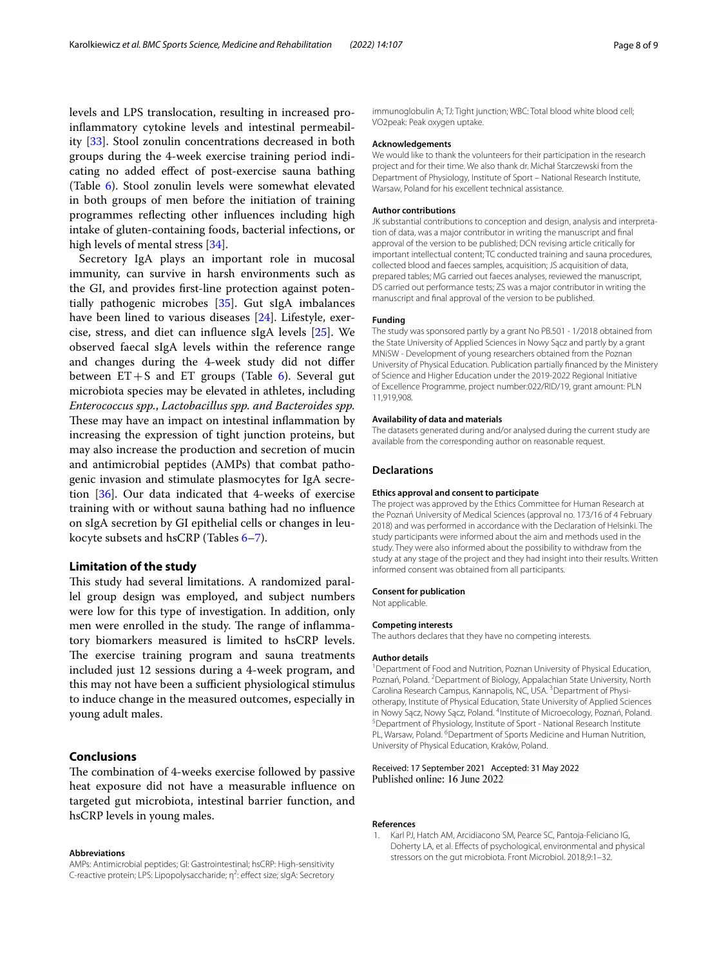levels and LPS translocation, resulting in increased proinfammatory cytokine levels and intestinal permeability [[33\]](#page-8-30). Stool zonulin concentrations decreased in both groups during the 4-week exercise training period indicating no added efect of post-exercise sauna bathing (Table [6](#page-5-1)). Stool zonulin levels were somewhat elevated in both groups of men before the initiation of training programmes refecting other infuences including high intake of gluten-containing foods, bacterial infections, or high levels of mental stress [\[34](#page-8-31)].

Secretory IgA plays an important role in mucosal immunity, can survive in harsh environments such as the GI, and provides frst-line protection against potentially pathogenic microbes [[35\]](#page-8-32). Gut sIgA imbalances have been lined to various diseases [\[24](#page-8-20)]. Lifestyle, exercise, stress, and diet can infuence sIgA levels [[25\]](#page-8-21). We observed faecal sIgA levels within the reference range and changes during the 4-week study did not difer between  $ET + S$  and  $ET$  groups (Table [6\)](#page-5-1). Several gut microbiota species may be elevated in athletes, including *Enterococcus spp.*, *Lactobacillus spp. and Bacteroides spp.* These may have an impact on intestinal inflammation by increasing the expression of tight junction proteins, but may also increase the production and secretion of mucin and antimicrobial peptides (AMPs) that combat pathogenic invasion and stimulate plasmocytes for IgA secretion [[36\]](#page-8-33). Our data indicated that 4-weeks of exercise training with or without sauna bathing had no infuence on sIgA secretion by GI epithelial cells or changes in leukocyte subsets and hsCRP (Tables [6–](#page-5-1)[7](#page-6-0)).

## **Limitation of the study**

This study had several limitations. A randomized parallel group design was employed, and subject numbers were low for this type of investigation. In addition, only men were enrolled in the study. The range of inflammatory biomarkers measured is limited to hsCRP levels. The exercise training program and sauna treatments included just 12 sessions during a 4-week program, and this may not have been a sufficient physiological stimulus to induce change in the measured outcomes, especially in young adult males.

## **Conclusions**

The combination of 4-weeks exercise followed by passive heat exposure did not have a measurable infuence on targeted gut microbiota, intestinal barrier function, and hsCRP levels in young males.

#### **Abbreviations**

AMPs: Antimicrobial peptides; GI: Gastrointestinal; hsCRP: High-sensitivity C-reactive protein; LPS: Lipopolysaccharide; η<sup>2</sup>: effect size; slgA: Secretory immunoglobulin A; TJ: Tight junction; WBC: Total blood white blood cell; VO2peak: Peak oxygen uptake.

### **Acknowledgements**

We would like to thank the volunteers for their participation in the research project and for their time. We also thank dr. Michał Starczewski from the Department of Physiology, Institute of Sport – National Research Institute, Warsaw, Poland for his excellent technical assistance.

#### **Author contributions**

JK substantial contributions to conception and design, analysis and interpretation of data, was a major contributor in writing the manuscript and fnal approval of the version to be published; DCN revising article critically for important intellectual content; TC conducted training and sauna procedures, collected blood and faeces samples, acquisition; JS acquisition of data, prepared tables; MG carried out faeces analyses, reviewed the manuscript, DS carried out performance tests; ZS was a major contributor in writing the manuscript and fnal approval of the version to be published.

#### **Funding**

The study was sponsored partly by a grant No PB.501 - 1/2018 obtained from the State University of Applied Sciences in Nowy Sącz and partly by a grant MNiSW - Development of young researchers obtained from the Poznan University of Physical Education. Publication partially fnanced by the Ministery of Science and Higher Education under the 2019-2022 Regional Initiative of Excellence Programme, project number:022/RID/19, grant amount: PLN 11,919,908.

#### **Availability of data and materials**

The datasets generated during and/or analysed during the current study are available from the corresponding author on reasonable request.

#### **Declarations**

#### **Ethics approval and consent to participate**

The project was approved by the Ethics Committee for Human Research at the Poznań University of Medical Sciences (approval no. 173/16 of 4 February 2018) and was performed in accordance with the Declaration of Helsinki. The study participants were informed about the aim and methods used in the study. They were also informed about the possibility to withdraw from the study at any stage of the project and they had insight into their results. Written informed consent was obtained from all participants.

#### **Consent for publication**

Not applicable.

#### **Competing interests**

The authors declares that they have no competing interests.

#### **Author details**

<sup>1</sup> Department of Food and Nutrition, Poznan University of Physical Education, Poznań, Poland. <sup>2</sup> Department of Biology, Appalachian State University, North Carolina Research Campus, Kannapolis, NC, USA. <sup>3</sup> Department of Physiotherapy, Institute of Physical Education, State University of Applied Sciences in Nowy Sącz, Nowy Sącz, Poland. <sup>4</sup> Institute of Microecology, Poznań, Poland.<br><sup>5</sup> Department of Physiology, Institute of Sport - National Pescarch Institute. <sup>5</sup> Department of Physiology, Institute of Sport - National Research Institute PL, Warsaw, Poland. <sup>6</sup> Department of Sports Medicine and Human Nutrition, University of Physical Education, Kraków, Poland.

#### Received: 17 September 2021 Accepted: 31 May 2022 Published online: 16 June 2022

#### **References**

<span id="page-7-0"></span>1. Karl PJ, Hatch AM, Arcidiacono SM, Pearce SC, Pantoja-Feliciano IG, Doherty LA, et al. Efects of psychological, environmental and physical stressors on the gut microbiota. Front Microbiol. 2018;9:1–32.